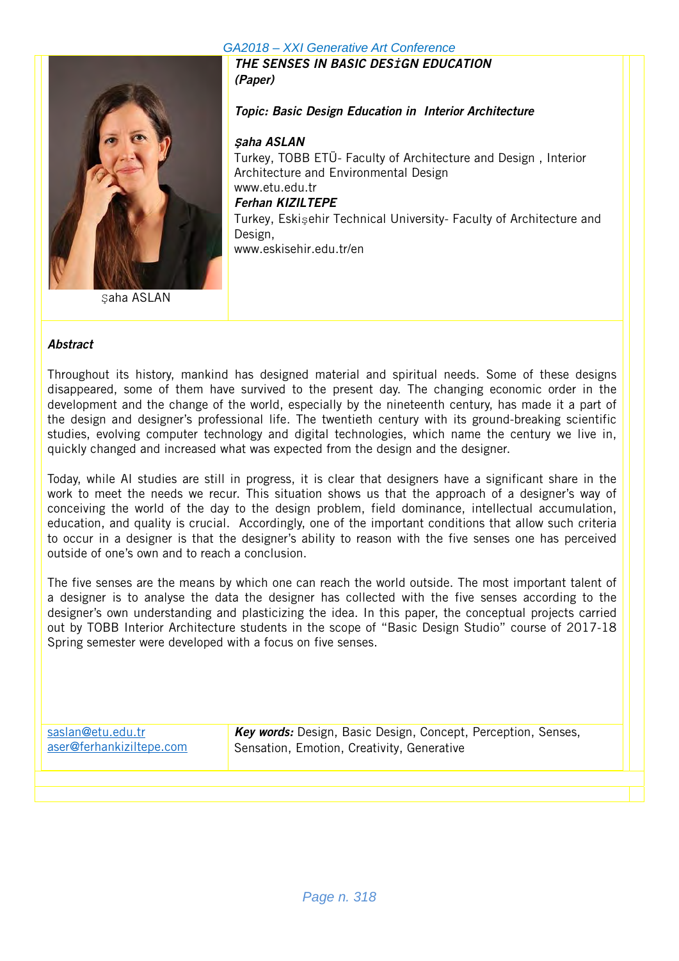

Saha ASLAN

THE SENSES IN BASIC DES*İ*GN EDUCATION (Paper)

Topic: Basic Design Education in Interior Architecture

### *Ş*aha ASLAN

Turkey, TOBB ETÜ- Faculty of Architecture and Design , Interior Architecture and Environmental Design www.etu.edu.tr Ferhan KIZILTEPE Turkey, Eskişehir Technical University- Faculty of Architecture and Design, www.eskisehir.edu.tr/en

#### **Abstract**

Throughout its history, mankind has designed material and spiritual needs. Some of these designs disappeared, some of them have survived to the present day. The changing economic order in the development and the change of the world, especially by the nineteenth century, has made it a part of the design and designer's professional life. The twentieth century with its ground-breaking scientific studies, evolving computer technology and digital technologies, which name the century we live in, quickly changed and increased what was expected from the design and the designer.

Today, while AI studies are still in progress, it is clear that designers have a significant share in the work to meet the needs we recur. This situation shows us that the approach of a designer's way of conceiving the world of the day to the design problem, field dominance, intellectual accumulation, education, and quality is crucial. Accordingly, one of the important conditions that allow such criteria to occur in a designer is that the designer's ability to reason with the five senses one has perceived outside of one's own and to reach a conclusion.

The five senses are the means by which one can reach the world outside. The most important talent of a designer is to analyse the data the designer has collected with the five senses according to the designer's own understanding and plasticizing the idea. In this paper, the conceptual projects carried out by TOBB Interior Architecture students in the scope of "Basic Design Studio" course of 2017-18 Spring semester were developed with a focus on five senses.

| saslan@etu.edu.tr<br>aser@ferhankiziltepe.com | Key words: Design, Basic Design, Concept, Perception, Senses,<br>Sensation, Emotion, Creativity, Generative |  |
|-----------------------------------------------|-------------------------------------------------------------------------------------------------------------|--|
|                                               |                                                                                                             |  |
|                                               |                                                                                                             |  |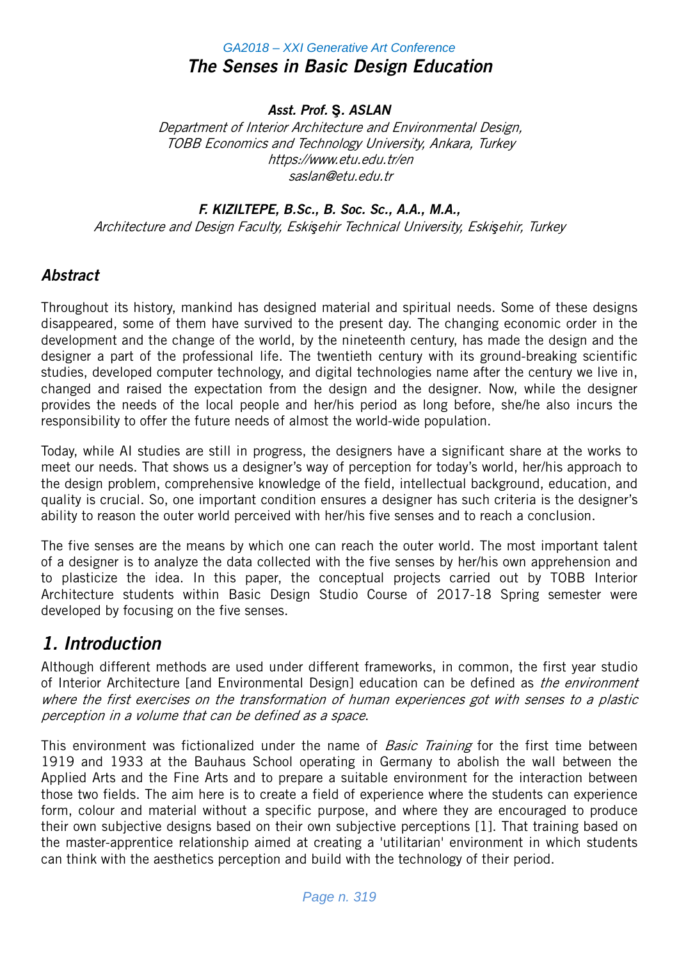## *GA2018 – XXI Generative Art Conference* The Senses in Basic Design Education

### Asst. Prof. **Ş**. ASLAN

Department of Interior Architecture and Environmental Design, TOBB Economics and Technology University, Ankara, Turkey https://www.etu.edu.tr/en saslan@etu.edu.tr

### F. KIZILTEPE, B.Sc., B. Soc. Sc., A.A., M.A.,

Architecture and Design Faculty, Eski*ş*ehir Technical University, Eski*ş*ehir, Turkey

### **Abstract**

Throughout its history, mankind has designed material and spiritual needs. Some of these designs disappeared, some of them have survived to the present day. The changing economic order in the development and the change of the world, by the nineteenth century, has made the design and the designer a part of the professional life. The twentieth century with its ground-breaking scientific studies, developed computer technology, and digital technologies name after the century we live in, changed and raised the expectation from the design and the designer. Now, while the designer provides the needs of the local people and her/his period as long before, she/he also incurs the responsibility to offer the future needs of almost the world-wide population.

Today, while AI studies are still in progress, the designers have a significant share at the works to meet our needs. That shows us a designer's way of perception for today's world, her/his approach to the design problem, comprehensive knowledge of the field, intellectual background, education, and quality is crucial. So, one important condition ensures a designer has such criteria is the designer's ability to reason the outer world perceived with her/his five senses and to reach a conclusion.

The five senses are the means by which one can reach the outer world. The most important talent of a designer is to analyze the data collected with the five senses by her/his own apprehension and to plasticize the idea. In this paper, the conceptual projects carried out by TOBB Interior Architecture students within Basic Design Studio Course of 2017-18 Spring semester were developed by focusing on the five senses.

## 1. Introduction

Although different methods are used under different frameworks, in common, the first year studio of Interior Architecture [and Environmental Design] education can be defined as *the environment* where the first exercises on the transformation of human experiences got with senses to a plastic perception in a volume that can be defined as a space.

This environment was fictionalized under the name of *Basic Training* for the first time between 1919 and 1933 at the Bauhaus School operating in Germany to abolish the wall between the Applied Arts and the Fine Arts and to prepare a suitable environment for the interaction between those two fields. The aim here is to create a field of experience where the students can experience form, colour and material without a specific purpose, and where they are encouraged to produce their own subjective designs based on their own subjective perceptions [1]. That training based on the master-apprentice relationship aimed at creating a 'utilitarian' environment in which students can think with the aesthetics perception and build with the technology of their period.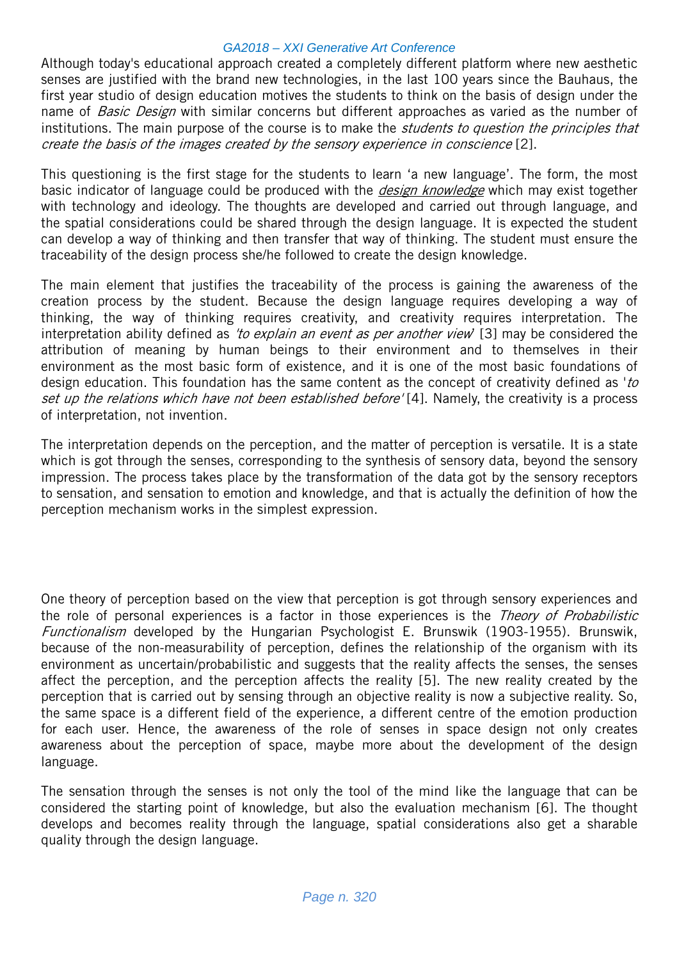Although today's educational approach created a completely different platform where new aesthetic senses are justified with the brand new technologies, in the last 100 years since the Bauhaus, the first year studio of design education motives the students to think on the basis of design under the name of *Basic Design* with similar concerns but different approaches as varied as the number of institutions. The main purpose of the course is to make the *students to question the principles that* create the basis of the images created by the sensory experience in conscience [2].

This questioning is the first stage for the students to learn 'a new language'. The form, the most basic indicator of language could be produced with the *design knowledge* which may exist together with technology and ideology. The thoughts are developed and carried out through language, and the spatial considerations could be shared through the design language. It is expected the student can develop a way of thinking and then transfer that way of thinking. The student must ensure the traceability of the design process she/he followed to create the design knowledge.

The main element that justifies the traceability of the process is gaining the awareness of the creation process by the student. Because the design language requires developing a way of thinking, the way of thinking requires creativity, and creativity requires interpretation. The interpretation ability defined as 'to explain an event as per another view' [3] may be considered the attribution of meaning by human beings to their environment and to themselves in their environment as the most basic form of existence, and it is one of the most basic foundations of design education. This foundation has the same content as the concept of creativity defined as 'to set up the relations which have not been established before' [4]. Namely, the creativity is a process of interpretation, not invention.

The interpretation depends on the perception, and the matter of perception is versatile. It is a state which is got through the senses, corresponding to the synthesis of sensory data, beyond the sensory impression. The process takes place by the transformation of the data got by the sensory receptors to sensation, and sensation to emotion and knowledge, and that is actually the definition of how the perception mechanism works in the simplest expression.

One theory of perception based on the view that perception is got through sensory experiences and the role of personal experiences is a factor in those experiences is the *Theory of Probabilistic* Functionalism developed by the Hungarian Psychologist E. Brunswik (1903-1955). Brunswik, because of the non-measurability of perception, defines the relationship of the organism with its environment as uncertain/probabilistic and suggests that the reality affects the senses, the senses affect the perception, and the perception affects the reality [5]. The new reality created by the perception that is carried out by sensing through an objective reality is now a subjective reality. So, the same space is a different field of the experience, a different centre of the emotion production for each user. Hence, the awareness of the role of senses in space design not only creates awareness about the perception of space, maybe more about the development of the design language.

The sensation through the senses is not only the tool of the mind like the language that can be considered the starting point of knowledge, but also the evaluation mechanism [6]. The thought develops and becomes reality through the language, spatial considerations also get a sharable quality through the design language.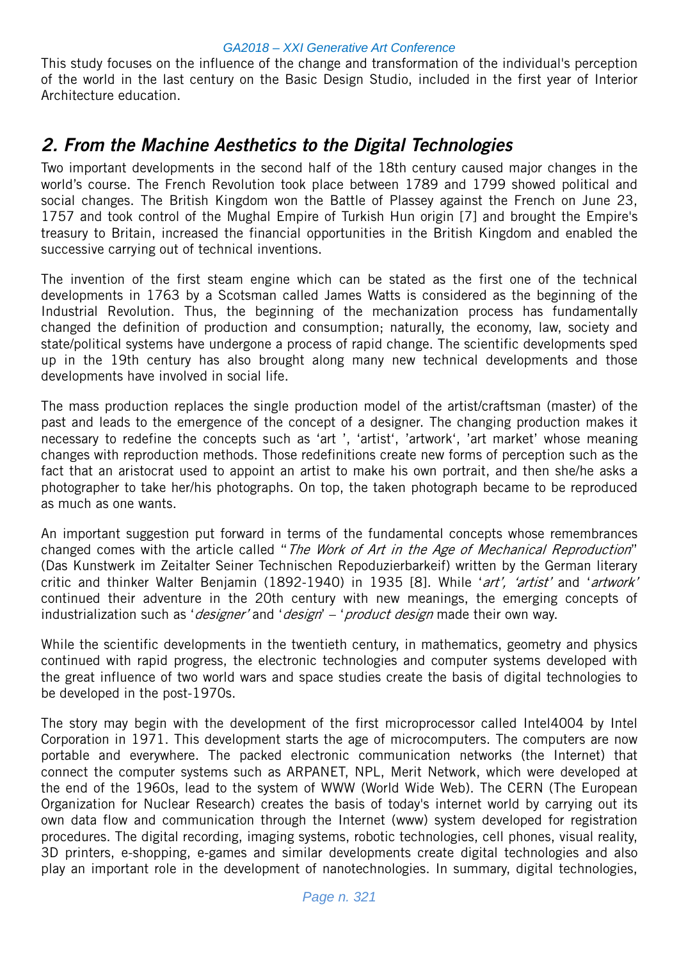This study focuses on the influence of the change and transformation of the individual's perception of the world in the last century on the Basic Design Studio, included in the first year of Interior Architecture education.

## 2. From the Machine Aesthetics to the Digital Technologies

Two important developments in the second half of the 18th century caused major changes in the world's course. The French Revolution took place between 1789 and 1799 showed political and social changes. The British Kingdom won the Battle of Plassey against the French on June 23, 1757 and took control of the Mughal Empire of Turkish Hun origin [7] and brought the Empire's treasury to Britain, increased the financial opportunities in the British Kingdom and enabled the successive carrying out of technical inventions.

The invention of the first steam engine which can be stated as the first one of the technical developments in 1763 by a Scotsman called James Watts is considered as the beginning of the Industrial Revolution. Thus, the beginning of the mechanization process has fundamentally changed the definition of production and consumption; naturally, the economy, law, society and state/political systems have undergone a process of rapid change. The scientific developments sped up in the 19th century has also brought along many new technical developments and those developments have involved in social life.

The mass production replaces the single production model of the artist/craftsman (master) of the past and leads to the emergence of the concept of a designer. The changing production makes it necessary to redefine the concepts such as 'art ', 'artist', 'artwork', 'art market' whose meaning changes with reproduction methods. Those redefinitions create new forms of perception such as the fact that an aristocrat used to appoint an artist to make his own portrait, and then she/he asks a photographer to take her/his photographs. On top, the taken photograph became to be reproduced as much as one wants.

An important suggestion put forward in terms of the fundamental concepts whose remembrances changed comes with the article called "The Work of Art in the Age of Mechanical Reproduction" (Das Kunstwerk im Zeitalter Seiner Technischen Repoduzierbarkeif) written by the German literary critic and thinker Walter Benjamin (1892-1940) in 1935 [8]. While 'art', 'artist' and 'artwork' continued their adventure in the 20th century with new meanings, the emerging concepts of industrialization such as '*designer'* and '*design' – 'product design* made their own way.

While the scientific developments in the twentieth century, in mathematics, geometry and physics continued with rapid progress, the electronic technologies and computer systems developed with the great influence of two world wars and space studies create the basis of digital technologies to be developed in the post-1970s.

The story may begin with the development of the first microprocessor called Intel4004 by Intel Corporation in 1971. This development starts the age of microcomputers. The computers are now portable and everywhere. The packed electronic communication networks (the Internet) that connect the computer systems such as ARPANET, NPL, Merit Network, which were developed at the end of the 1960s, lead to the system of WWW (World Wide Web). The CERN (The European Organization for Nuclear Research) creates the basis of today's internet world by carrying out its own data flow and communication through the Internet (www) system developed for registration procedures. The digital recording, imaging systems, robotic technologies, cell phones, visual reality, 3D printers, e-shopping, e-games and similar developments create digital technologies and also play an important role in the development of nanotechnologies. In summary, digital technologies,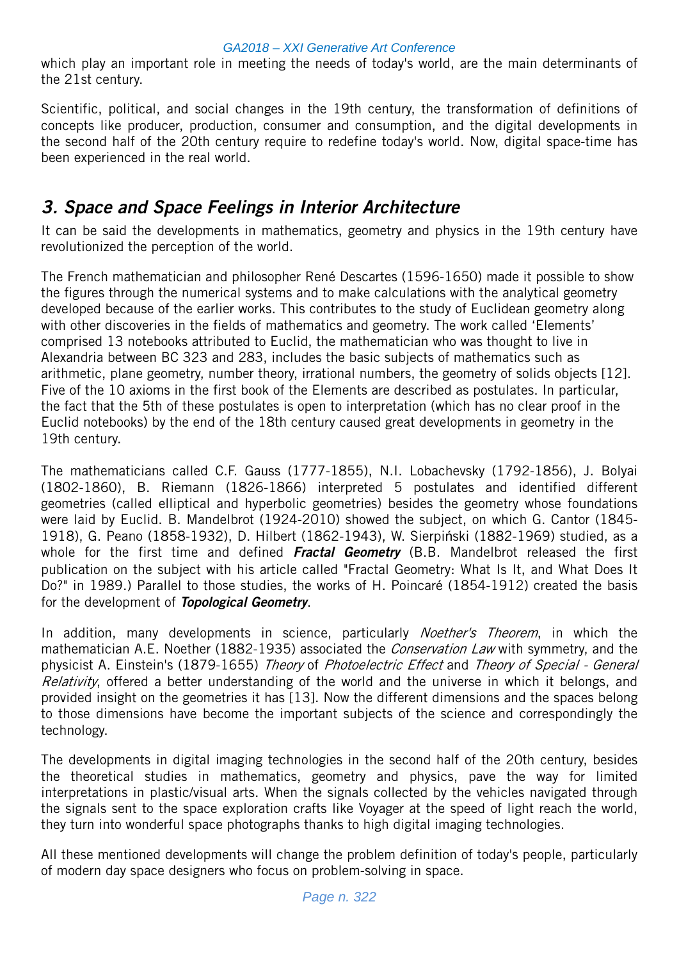which play an important role in meeting the needs of today's world, are the main determinants of the 21st century.

Scientific, political, and social changes in the 19th century, the transformation of definitions of concepts like producer, production, consumer and consumption, and the digital developments in the second half of the 20th century require to redefine today's world. Now, digital space-time has been experienced in the real world.

# 3. Space and Space Feelings in Interior Architecture

It can be said the developments in mathematics, geometry and physics in the 19th century have revolutionized the perception of the world.

The French mathematician and philosopher René Descartes (1596-1650) made it possible to show the figures through the numerical systems and to make calculations with the analytical geometry developed because of the earlier works. This contributes to the study of Euclidean geometry along with other discoveries in the fields of mathematics and geometry. The work called 'Elements' comprised 13 notebooks attributed to Euclid, the mathematician who was thought to live in Alexandria between BC 323 and 283, includes the basic subjects of mathematics such as arithmetic, plane geometry, number theory, irrational numbers, the geometry of solids objects [12]. Five of the 10 axioms in the first book of the Elements are described as postulates. In particular, the fact that the 5th of these postulates is open to interpretation (which has no clear proof in the Euclid notebooks) by the end of the 18th century caused great developments in geometry in the 19th century.

The mathematicians called C.F. Gauss (1777-1855), N.I. Lobachevsky (1792-1856), J. Bolyai (1802-1860), B. Riemann (1826-1866) interpreted 5 postulates and identified different geometries (called elliptical and hyperbolic geometries) besides the geometry whose foundations were laid by Euclid. B. Mandelbrot (1924-2010) showed the subject, on which G. Cantor (1845- 1918), G. Peano (1858-1932), D. Hilbert (1862-1943), W. Sierpiński (1882-1969) studied, as a whole for the first time and defined Fractal Geometry (B.B. Mandelbrot released the first publication on the subject with his article called "Fractal Geometry: What Is It, and What Does It Do?" in 1989.) Parallel to those studies, the works of H. Poincaré (1854-1912) created the basis for the development of **Topological Geometry**.

In addition, many developments in science, particularly *Noether's Theorem*, in which the mathematician A.E. Noether (1882-1935) associated the *Conservation Law* with symmetry, and the physicist A. Einstein's (1879-1655) Theory of Photoelectric Effect and Theory of Special - General Relativity, offered a better understanding of the world and the universe in which it belongs, and provided insight on the geometries it has [13]. Now the different dimensions and the spaces belong to those dimensions have become the important subjects of the science and correspondingly the technology.

The developments in digital imaging technologies in the second half of the 20th century, besides the theoretical studies in mathematics, geometry and physics, pave the way for limited interpretations in plastic/visual arts. When the signals collected by the vehicles navigated through the signals sent to the space exploration crafts like Voyager at the speed of light reach the world, they turn into wonderful space photographs thanks to high digital imaging technologies.

All these mentioned developments will change the problem definition of today's people, particularly of modern day space designers who focus on problem-solving in space.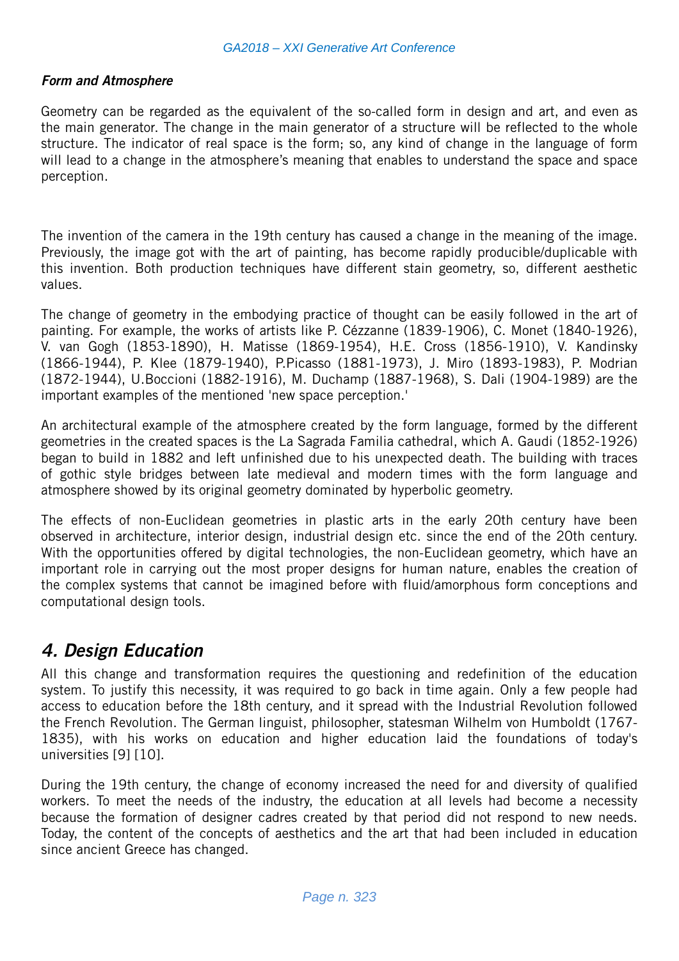### Form and Atmosphere

Geometry can be regarded as the equivalent of the so-called form in design and art, and even as the main generator. The change in the main generator of a structure will be reflected to the whole structure. The indicator of real space is the form; so, any kind of change in the language of form will lead to a change in the atmosphere's meaning that enables to understand the space and space perception.

The invention of the camera in the 19th century has caused a change in the meaning of the image. Previously, the image got with the art of painting, has become rapidly producible/duplicable with this invention. Both production techniques have different stain geometry, so, different aesthetic values.

The change of geometry in the embodying practice of thought can be easily followed in the art of painting. For example, the works of artists like P. Cézzanne (1839-1906), C. Monet (1840-1926), V. van Gogh (1853-1890), H. Matisse (1869-1954), H.E. Cross (1856-1910), V. Kandinsky (1866-1944), P. Klee (1879-1940), P.Picasso (1881-1973), J. Miro (1893-1983), P. Modrian (1872-1944), U.Boccioni (1882-1916), M. Duchamp (1887-1968), S. Dali (1904-1989) are the important examples of the mentioned 'new space perception.'

An architectural example of the atmosphere created by the form language, formed by the different geometries in the created spaces is the La Sagrada Familia cathedral, which A. Gaudi (1852-1926) began to build in 1882 and left unfinished due to his unexpected death. The building with traces of gothic style bridges between late medieval and modern times with the form language and atmosphere showed by its original geometry dominated by hyperbolic geometry.

The effects of non-Euclidean geometries in plastic arts in the early 20th century have been observed in architecture, interior design, industrial design etc. since the end of the 20th century. With the opportunities offered by digital technologies, the non-Euclidean geometry, which have an important role in carrying out the most proper designs for human nature, enables the creation of the complex systems that cannot be imagined before with fluid/amorphous form conceptions and computational design tools.

## 4. Design Education

All this change and transformation requires the questioning and redefinition of the education system. To justify this necessity, it was required to go back in time again. Only a few people had access to education before the 18th century, and it spread with the Industrial Revolution followed the French Revolution. The German linguist, philosopher, statesman Wilhelm von Humboldt (1767- 1835), with his works on education and higher education laid the foundations of today's universities [9] [10].

During the 19th century, the change of economy increased the need for and diversity of qualified workers. To meet the needs of the industry, the education at all levels had become a necessity because the formation of designer cadres created by that period did not respond to new needs. Today, the content of the concepts of aesthetics and the art that had been included in education since ancient Greece has changed.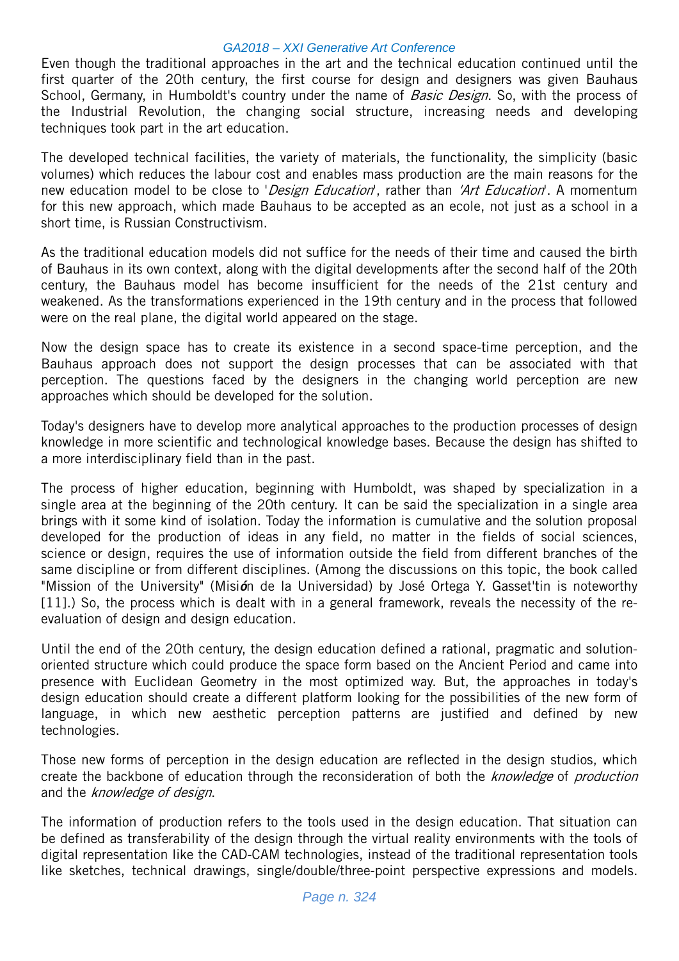Even though the traditional approaches in the art and the technical education continued until the first quarter of the 20th century, the first course for design and designers was given Bauhaus School, Germany, in Humboldt's country under the name of *Basic Design*. So, with the process of the Industrial Revolution, the changing social structure, increasing needs and developing techniques took part in the art education.

The developed technical facilities, the variety of materials, the functionality, the simplicity (basic volumes) which reduces the labour cost and enables mass production are the main reasons for the new education model to be close to 'Design Education', rather than 'Art Education'. A momentum for this new approach, which made Bauhaus to be accepted as an ecole, not just as a school in a short time, is Russian Constructivism.

As the traditional education models did not suffice for the needs of their time and caused the birth of Bauhaus in its own context, along with the digital developments after the second half of the 20th century, the Bauhaus model has become insufficient for the needs of the 21st century and weakened. As the transformations experienced in the 19th century and in the process that followed were on the real plane, the digital world appeared on the stage.

Now the design space has to create its existence in a second space-time perception, and the Bauhaus approach does not support the design processes that can be associated with that perception. The questions faced by the designers in the changing world perception are new approaches which should be developed for the solution.

Today's designers have to develop more analytical approaches to the production processes of design knowledge in more scientific and technological knowledge bases. Because the design has shifted to a more interdisciplinary field than in the past.

The process of higher education, beginning with Humboldt, was shaped by specialization in a single area at the beginning of the 20th century. It can be said the specialization in a single area brings with it some kind of isolation. Today the information is cumulative and the solution proposal developed for the production of ideas in any field, no matter in the fields of social sciences, science or design, requires the use of information outside the field from different branches of the same discipline or from different disciplines. (Among the discussions on this topic, the book called "Mission of the University" (Misión de la Universidad) by José Ortega Y. Gasset'tin is noteworthy [11].) So, the process which is dealt with in a general framework, reveals the necessity of the reevaluation of design and design education.

Until the end of the 20th century, the design education defined a rational, pragmatic and solutionoriented structure which could produce the space form based on the Ancient Period and came into presence with Euclidean Geometry in the most optimized way. But, the approaches in today's design education should create a different platform looking for the possibilities of the new form of language, in which new aesthetic perception patterns are justified and defined by new technologies.

Those new forms of perception in the design education are reflected in the design studios, which create the backbone of education through the reconsideration of both the knowledge of production and the knowledge of design.

The information of production refers to the tools used in the design education. That situation can be defined as transferability of the design through the virtual reality environments with the tools of digital representation like the CAD-CAM technologies, instead of the traditional representation tools like sketches, technical drawings, single/double/three-point perspective expressions and models.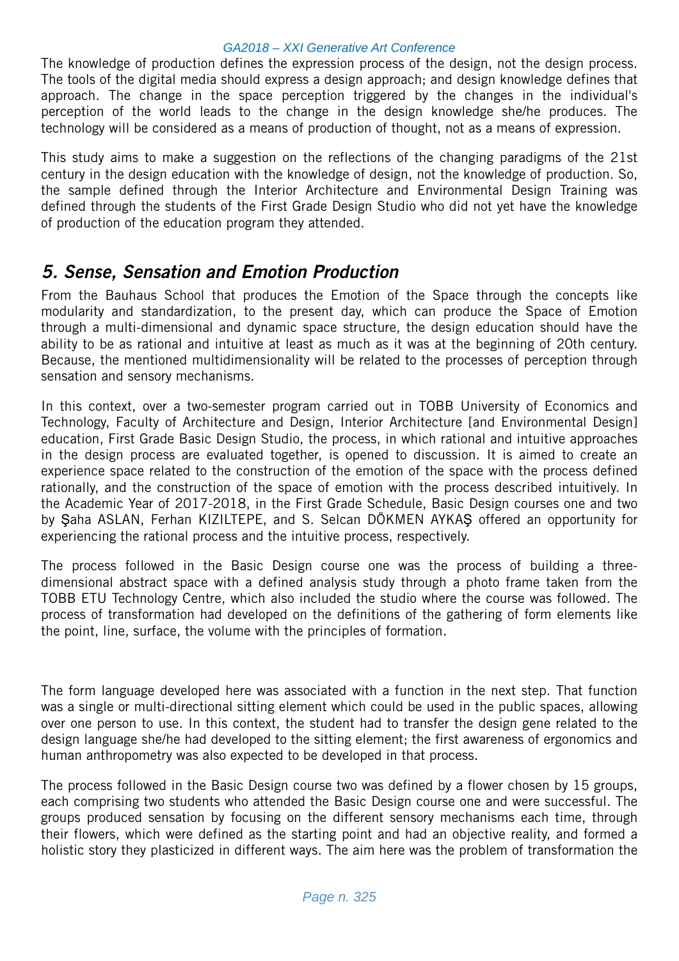The knowledge of production defines the expression process of the design, not the design process. The tools of the digital media should express a design approach; and design knowledge defines that approach. The change in the space perception triggered by the changes in the individual's perception of the world leads to the change in the design knowledge she/he produces. The technology will be considered as a means of production of thought, not as a means of expression.

This study aims to make a suggestion on the reflections of the changing paradigms of the 21st century in the design education with the knowledge of design, not the knowledge of production. So, the sample defined through the Interior Architecture and Environmental Design Training was defined through the students of the First Grade Design Studio who did not yet have the knowledge of production of the education program they attended.

## 5. Sense, Sensation and Emotion Production

From the Bauhaus School that produces the Emotion of the Space through the concepts like modularity and standardization, to the present day, which can produce the Space of Emotion through a multi-dimensional and dynamic space structure, the design education should have the ability to be as rational and intuitive at least as much as it was at the beginning of 20th century. Because, the mentioned multidimensionality will be related to the processes of perception through sensation and sensory mechanisms.

In this context, over a two-semester program carried out in TOBB University of Economics and Technology, Faculty of Architecture and Design, Interior Architecture [and Environmental Design] education, First Grade Basic Design Studio, the process, in which rational and intuitive approaches in the design process are evaluated together, is opened to discussion. It is aimed to create an experience space related to the construction of the emotion of the space with the process defined rationally, and the construction of the space of emotion with the process described intuitively. In the Academic Year of 2017-2018, in the First Grade Schedule, Basic Design courses one and two by Şaha ASLAN, Ferhan KIZILTEPE, and S. Selcan DÖKMEN AYKAŞ offered an opportunity for experiencing the rational process and the intuitive process, respectively.

The process followed in the Basic Design course one was the process of building a threedimensional abstract space with a defined analysis study through a photo frame taken from the TOBB ETU Technology Centre, which also included the studio where the course was followed. The process of transformation had developed on the definitions of the gathering of form elements like the point, line, surface, the volume with the principles of formation.

The form language developed here was associated with a function in the next step. That function was a single or multi-directional sitting element which could be used in the public spaces, allowing over one person to use. In this context, the student had to transfer the design gene related to the design language she/he had developed to the sitting element; the first awareness of ergonomics and human anthropometry was also expected to be developed in that process.

The process followed in the Basic Design course two was defined by a flower chosen by 15 groups, each comprising two students who attended the Basic Design course one and were successful. The groups produced sensation by focusing on the different sensory mechanisms each time, through their flowers, which were defined as the starting point and had an objective reality, and formed a holistic story they plasticized in different ways. The aim here was the problem of transformation the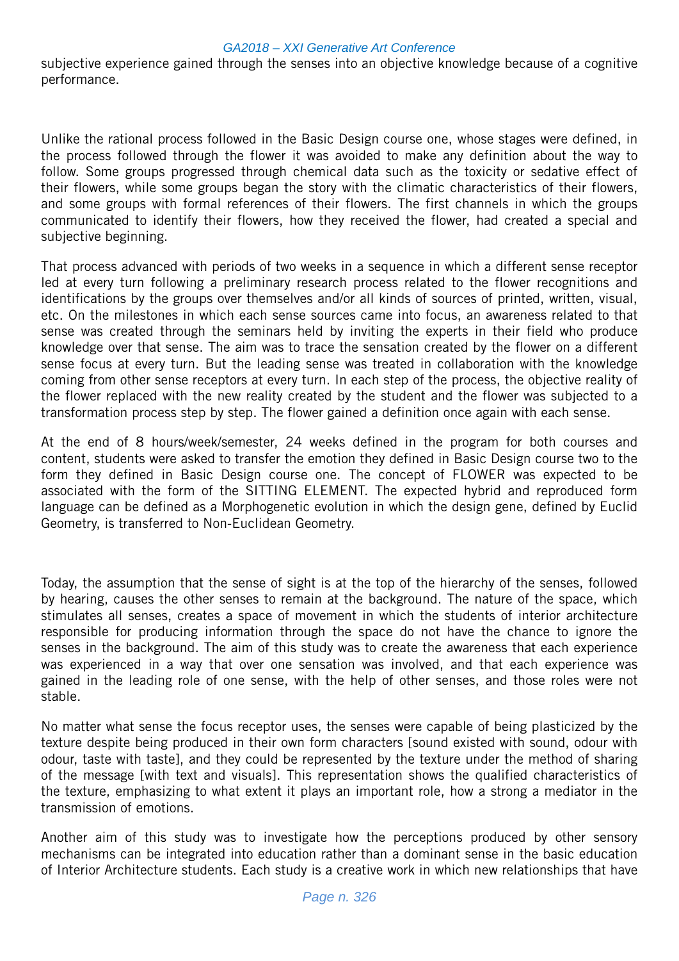subjective experience gained through the senses into an objective knowledge because of a cognitive performance.

Unlike the rational process followed in the Basic Design course one, whose stages were defined, in the process followed through the flower it was avoided to make any definition about the way to follow. Some groups progressed through chemical data such as the toxicity or sedative effect of their flowers, while some groups began the story with the climatic characteristics of their flowers, and some groups with formal references of their flowers. The first channels in which the groups communicated to identify their flowers, how they received the flower, had created a special and subjective beginning.

That process advanced with periods of two weeks in a sequence in which a different sense receptor led at every turn following a preliminary research process related to the flower recognitions and identifications by the groups over themselves and/or all kinds of sources of printed, written, visual, etc. On the milestones in which each sense sources came into focus, an awareness related to that sense was created through the seminars held by inviting the experts in their field who produce knowledge over that sense. The aim was to trace the sensation created by the flower on a different sense focus at every turn. But the leading sense was treated in collaboration with the knowledge coming from other sense receptors at every turn. In each step of the process, the objective reality of the flower replaced with the new reality created by the student and the flower was subjected to a transformation process step by step. The flower gained a definition once again with each sense.

At the end of 8 hours/week/semester, 24 weeks defined in the program for both courses and content, students were asked to transfer the emotion they defined in Basic Design course two to the form they defined in Basic Design course one. The concept of FLOWER was expected to be associated with the form of the SITTING ELEMENT. The expected hybrid and reproduced form language can be defined as a Morphogenetic evolution in which the design gene, defined by Euclid Geometry, is transferred to Non-Euclidean Geometry.

Today, the assumption that the sense of sight is at the top of the hierarchy of the senses, followed by hearing, causes the other senses to remain at the background. The nature of the space, which stimulates all senses, creates a space of movement in which the students of interior architecture responsible for producing information through the space do not have the chance to ignore the senses in the background. The aim of this study was to create the awareness that each experience was experienced in a way that over one sensation was involved, and that each experience was gained in the leading role of one sense, with the help of other senses, and those roles were not stable.

No matter what sense the focus receptor uses, the senses were capable of being plasticized by the texture despite being produced in their own form characters [sound existed with sound, odour with odour, taste with taste], and they could be represented by the texture under the method of sharing of the message [with text and visuals]. This representation shows the qualified characteristics of the texture, emphasizing to what extent it plays an important role, how a strong a mediator in the transmission of emotions.

Another aim of this study was to investigate how the perceptions produced by other sensory mechanisms can be integrated into education rather than a dominant sense in the basic education of Interior Architecture students. Each study is a creative work in which new relationships that have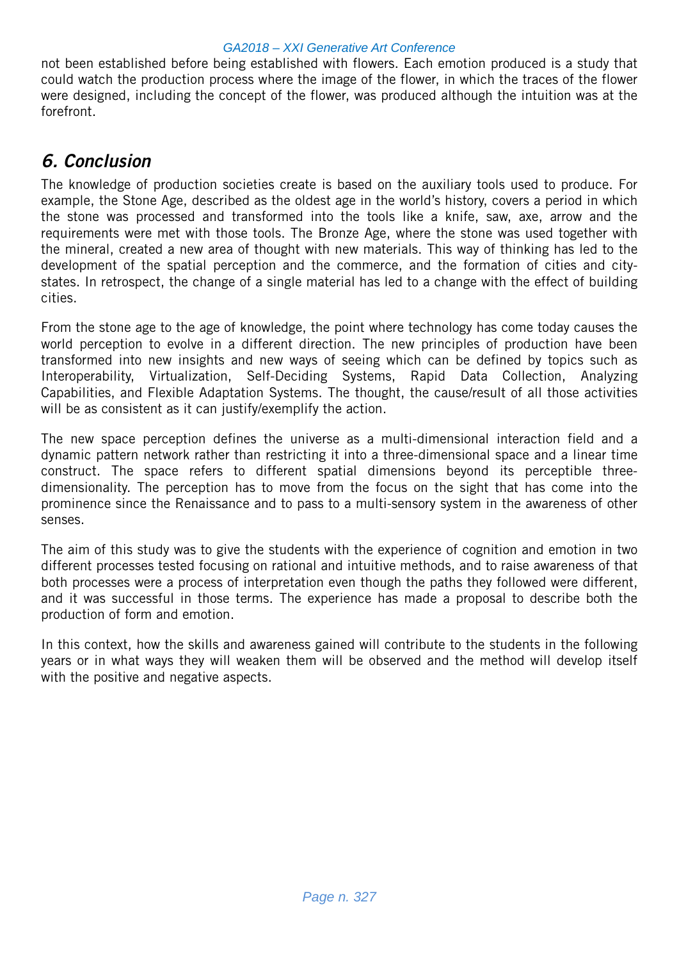not been established before being established with flowers. Each emotion produced is a study that could watch the production process where the image of the flower, in which the traces of the flower were designed, including the concept of the flower, was produced although the intuition was at the forefront.

# 6. Conclusion

The knowledge of production societies create is based on the auxiliary tools used to produce. For example, the Stone Age, described as the oldest age in the world's history, covers a period in which the stone was processed and transformed into the tools like a knife, saw, axe, arrow and the requirements were met with those tools. The Bronze Age, where the stone was used together with the mineral, created a new area of thought with new materials. This way of thinking has led to the development of the spatial perception and the commerce, and the formation of cities and citystates. In retrospect, the change of a single material has led to a change with the effect of building cities.

From the stone age to the age of knowledge, the point where technology has come today causes the world perception to evolve in a different direction. The new principles of production have been transformed into new insights and new ways of seeing which can be defined by topics such as Interoperability, Virtualization, Self-Deciding Systems, Rapid Data Collection, Analyzing Capabilities, and Flexible Adaptation Systems. The thought, the cause/result of all those activities will be as consistent as it can justify/exemplify the action.

The new space perception defines the universe as a multi-dimensional interaction field and a dynamic pattern network rather than restricting it into a three-dimensional space and a linear time construct. The space refers to different spatial dimensions beyond its perceptible threedimensionality. The perception has to move from the focus on the sight that has come into the prominence since the Renaissance and to pass to a multi-sensory system in the awareness of other senses.

The aim of this study was to give the students with the experience of cognition and emotion in two different processes tested focusing on rational and intuitive methods, and to raise awareness of that both processes were a process of interpretation even though the paths they followed were different, and it was successful in those terms. The experience has made a proposal to describe both the production of form and emotion.

In this context, how the skills and awareness gained will contribute to the students in the following years or in what ways they will weaken them will be observed and the method will develop itself with the positive and negative aspects.